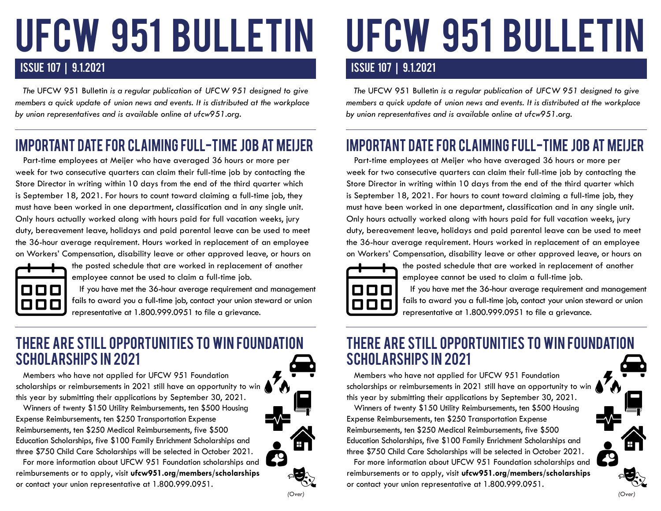# UFCW 951 BULLETIN

#### ISSUE 107 | 9.1.2021 ISSUE 107 | 9.1.2021

 *The* UFCW 951 Bulletin *is a regular publication of UFCW 951 designed to give members a quick update of union news and events. It is distributed at the workplace by union representatives and is available online at ufcw951.org.* 

## IMPORTANT DATE FOR CLAIMING FULL-TIME JOB AT MEIJER

 Part-time employees at Meijer who have averaged 36 hours or more per week for two consecutive quarters can claim their full-time job by contacting the Store Director in writing within 10 days from the end of the third quarter which is September 18, 2021. For hours to count toward claiming a full-time job, they must have been worked in one department, classification and in any single unit. Only hours actually worked along with hours paid for full vacation weeks, jury duty, bereavement leave, holidays and paid parental leave can be used to meet the 36-hour average requirement. Hours worked in replacement of an employee on Workers' Compensation, disability leave or other approved leave, or hours on



the posted schedule that are worked in replacement of another employee cannot be used to claim a full-time job.

 If you have met the 36-hour average requirement and management fails to award you a full-time job, contact your union steward or union representative at 1.800.999.0951 to file a grievance.

#### THERE ARE STILL OPPORTUNITIES TO WIN FOUNDATION SCHOLARSHIPS IN 2021

 Members who have not applied for UFCW 951 Foundation scholarships or reimbursements in 2021 still have an opportunity to win this year by submitting their applications by September 30, 2021.

 Winners of twenty \$150 Utility Reimbursements, ten \$500 Housing Expense Reimbursements, ten \$250 Transportation Expense Reimbursements, ten \$250 Medical Reimbursements, five \$500 Education Scholarships, five \$100 Family Enrichment Scholarships and three \$750 Child Care Scholarships will be selected in October 2021.

 For more information about UFCW 951 Foundation scholarships and reimbursements or to apply, visit **ufcw951.org/members/scholarships** or contact your union representative at 1.800.999.0951.

*(Over) (Over)*